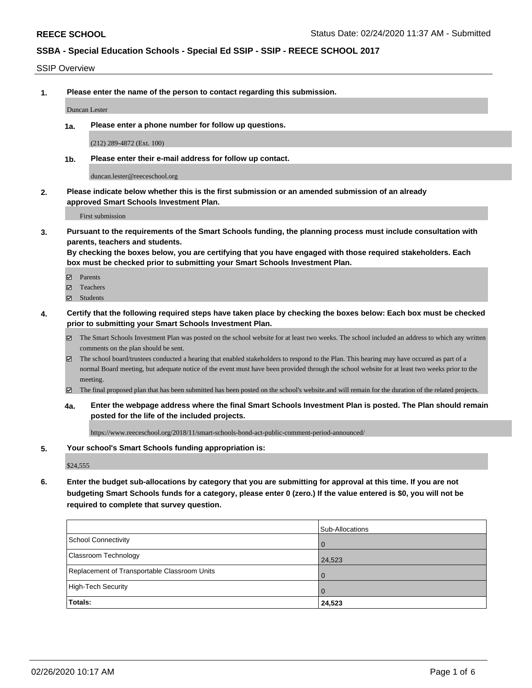SSIP Overview

**1. Please enter the name of the person to contact regarding this submission.**

Duncan Lester

**1a. Please enter a phone number for follow up questions.**

(212) 289-4872 (Ext. 100)

**1b. Please enter their e-mail address for follow up contact.**

duncan.lester@reeceschool.org

**2. Please indicate below whether this is the first submission or an amended submission of an already approved Smart Schools Investment Plan.**

First submission

**3. Pursuant to the requirements of the Smart Schools funding, the planning process must include consultation with parents, teachers and students.**

**By checking the boxes below, you are certifying that you have engaged with those required stakeholders. Each box must be checked prior to submitting your Smart Schools Investment Plan.**

- Parents
- Teachers
- Students
- **4. Certify that the following required steps have taken place by checking the boxes below: Each box must be checked prior to submitting your Smart Schools Investment Plan.**
	- The Smart Schools Investment Plan was posted on the school website for at least two weeks. The school included an address to which any written comments on the plan should be sent.
	- $\boxtimes$  The school board/trustees conducted a hearing that enabled stakeholders to respond to the Plan. This hearing may have occured as part of a normal Board meeting, but adequate notice of the event must have been provided through the school website for at least two weeks prior to the meeting.
	- The final proposed plan that has been submitted has been posted on the school's website.and will remain for the duration of the related projects.
	- **4a. Enter the webpage address where the final Smart Schools Investment Plan is posted. The Plan should remain posted for the life of the included projects.**

https://www.reeceschool.org/2018/11/smart-schools-bond-act-public-comment-period-announced/

#### **5. Your school's Smart Schools funding appropriation is:**

\$24,555

**6. Enter the budget sub-allocations by category that you are submitting for approval at this time. If you are not budgeting Smart Schools funds for a category, please enter 0 (zero.) If the value entered is \$0, you will not be required to complete that survey question.**

| Totals:                                      | 24,523          |
|----------------------------------------------|-----------------|
| High-Tech Security                           | $\overline{0}$  |
| Replacement of Transportable Classroom Units | 1 O             |
| <b>Classroom Technology</b>                  | 24,523          |
| School Connectivity                          | <b>O</b>        |
|                                              | Sub-Allocations |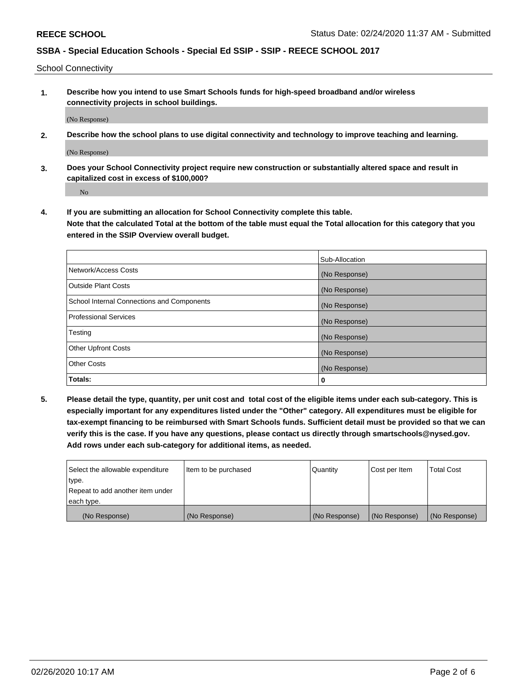School Connectivity

**1. Describe how you intend to use Smart Schools funds for high-speed broadband and/or wireless connectivity projects in school buildings.**

(No Response)

**2. Describe how the school plans to use digital connectivity and technology to improve teaching and learning.**

(No Response)

**3. Does your School Connectivity project require new construction or substantially altered space and result in capitalized cost in excess of \$100,000?**

No

**4. If you are submitting an allocation for School Connectivity complete this table. Note that the calculated Total at the bottom of the table must equal the Total allocation for this category that you entered in the SSIP Overview overall budget.** 

|                                            | Sub-Allocation |
|--------------------------------------------|----------------|
| Network/Access Costs                       | (No Response)  |
| <b>Outside Plant Costs</b>                 | (No Response)  |
| School Internal Connections and Components | (No Response)  |
| <b>Professional Services</b>               | (No Response)  |
| Testing                                    | (No Response)  |
| <b>Other Upfront Costs</b>                 | (No Response)  |
| <b>Other Costs</b>                         | (No Response)  |
| Totals:                                    | 0              |

**5. Please detail the type, quantity, per unit cost and total cost of the eligible items under each sub-category. This is especially important for any expenditures listed under the "Other" category. All expenditures must be eligible for tax-exempt financing to be reimbursed with Smart Schools funds. Sufficient detail must be provided so that we can verify this is the case. If you have any questions, please contact us directly through smartschools@nysed.gov. Add rows under each sub-category for additional items, as needed.**

| each type.<br>(No Response)      | (No Response)          | (No Response) | (No Response) | (No Response)     |
|----------------------------------|------------------------|---------------|---------------|-------------------|
|                                  |                        |               |               |                   |
| Repeat to add another item under |                        |               |               |                   |
| ∣type.                           |                        |               |               |                   |
| Select the allowable expenditure | I Item to be purchased | Quantity      | Cost per Item | <b>Total Cost</b> |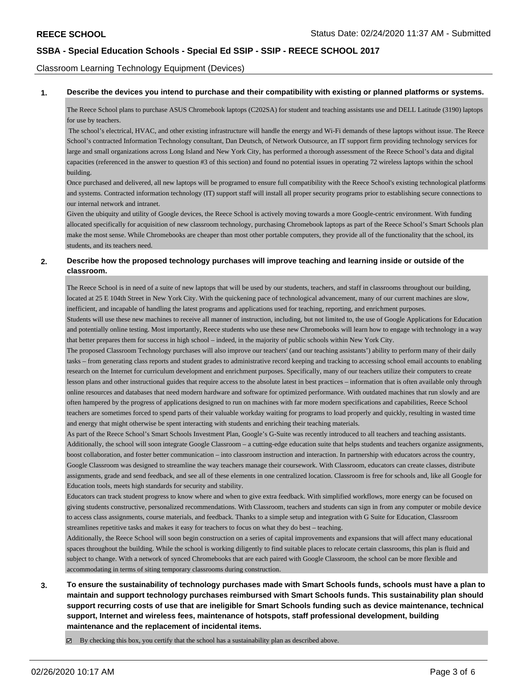Classroom Learning Technology Equipment (Devices)

**1. Describe the devices you intend to purchase and their compatibility with existing or planned platforms or systems.**

The Reece School plans to purchase ASUS Chromebook laptops (C202SA) for student and teaching assistants use and DELL Latitude (3190) laptops for use by teachers.

 The school's electrical, HVAC, and other existing infrastructure will handle the energy and Wi-Fi demands of these laptops without issue. The Reece School's contracted Information Technology consultant, Dan Deutsch, of Network Outsource, an IT support firm providing technology services for large and small organizations across Long Island and New York City, has performed a thorough assessment of the Reece School's data and digital capacities (referenced in the answer to question #3 of this section) and found no potential issues in operating 72 wireless laptops within the school building.

Once purchased and delivered, all new laptops will be programed to ensure full compatibility with the Reece School's existing technological platforms and systems. Contracted information technology (IT) support staff will install all proper security programs prior to establishing secure connections to our internal network and intranet.

Given the ubiquity and utility of Google devices, the Reece School is actively moving towards a more Google-centric environment. With funding allocated specifically for acquisition of new classroom technology, purchasing Chromebook laptops as part of the Reece School's Smart Schools plan make the most sense. While Chromebooks are cheaper than most other portable computers, they provide all of the functionality that the school, its students, and its teachers need.

#### **2. Describe how the proposed technology purchases will improve teaching and learning inside or outside of the classroom.**

The Reece School is in need of a suite of new laptops that will be used by our students, teachers, and staff in classrooms throughout our building, located at 25 E 104th Street in New York City. With the quickening pace of technological advancement, many of our current machines are slow, inefficient, and incapable of handling the latest programs and applications used for teaching, reporting, and enrichment purposes.

Students will use these new machines to receive all manner of instruction, including, but not limited to, the use of Google Applications for Education and potentially online testing. Most importantly, Reece students who use these new Chromebooks will learn how to engage with technology in a way that better prepares them for success in high school – indeed, in the majority of public schools within New York City.

The proposed Classroom Technology purchases will also improve our teachers' (and our teaching assistants') ability to perform many of their daily tasks – from generating class reports and student grades to administrative record keeping and tracking to accessing school email accounts to enabling research on the Internet for curriculum development and enrichment purposes. Specifically, many of our teachers utilize their computers to create lesson plans and other instructional guides that require access to the absolute latest in best practices – information that is often available only through online resources and databases that need modern hardware and software for optimized performance. With outdated machines that run slowly and are often hampered by the progress of applications designed to run on machines with far more modern specifications and capabilities, Reece School teachers are sometimes forced to spend parts of their valuable workday waiting for programs to load properly and quickly, resulting in wasted time and energy that might otherwise be spent interacting with students and enriching their teaching materials.

As part of the Reece School's Smart Schools Investment Plan, Google's G-Suite was recently introduced to all teachers and teaching assistants. Additionally, the school will soon integrate Google Classroom – a cutting-edge education suite that helps students and teachers organize assignments, boost collaboration, and foster better communication – into classroom instruction and interaction. In partnership with educators across the country, Google Classroom was designed to streamline the way teachers manage their coursework. With Classroom, educators can create classes, distribute assignments, grade and send feedback, and see all of these elements in one centralized location. Classroom is free for schools and, like all Google for Education tools, meets high standards for security and stability.

Educators can track student progress to know where and when to give extra feedback. With simplified workflows, more energy can be focused on giving students constructive, personalized recommendations. With Classroom, teachers and students can sign in from any computer or mobile device to access class assignments, course materials, and feedback. Thanks to a simple setup and integration with G Suite for Education, Classroom streamlines repetitive tasks and makes it easy for teachers to focus on what they do best – teaching.

Additionally, the Reece School will soon begin construction on a series of capital improvements and expansions that will affect many educational spaces throughout the building. While the school is working diligently to find suitable places to relocate certain classrooms, this plan is fluid and subject to change. With a network of synced Chromebooks that are each paired with Google Classroom, the school can be more flexible and accommodating in terms of siting temporary classrooms during construction.

**3. To ensure the sustainability of technology purchases made with Smart Schools funds, schools must have a plan to maintain and support technology purchases reimbursed with Smart Schools funds. This sustainability plan should support recurring costs of use that are ineligible for Smart Schools funding such as device maintenance, technical support, Internet and wireless fees, maintenance of hotspots, staff professional development, building maintenance and the replacement of incidental items.**

 $\boxtimes$  By checking this box, you certify that the school has a sustainability plan as described above.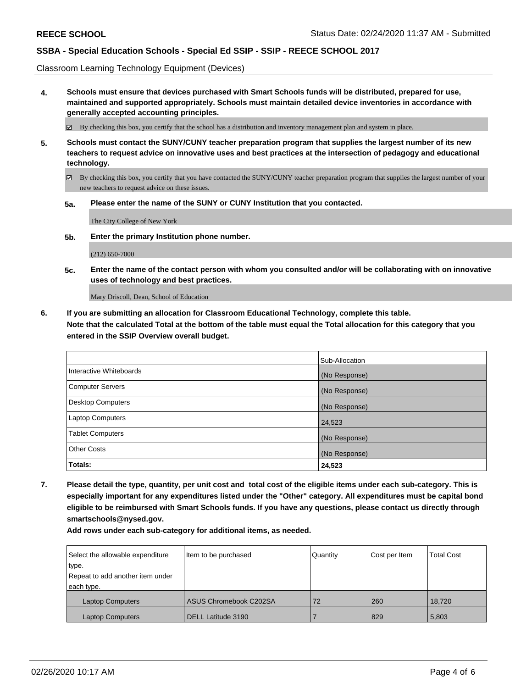Classroom Learning Technology Equipment (Devices)

**4. Schools must ensure that devices purchased with Smart Schools funds will be distributed, prepared for use, maintained and supported appropriately. Schools must maintain detailed device inventories in accordance with generally accepted accounting principles.**

By checking this box, you certify that the school has a distribution and inventory management plan and system in place.

- **5. Schools must contact the SUNY/CUNY teacher preparation program that supplies the largest number of its new teachers to request advice on innovative uses and best practices at the intersection of pedagogy and educational technology.**
	- By checking this box, you certify that you have contacted the SUNY/CUNY teacher preparation program that supplies the largest number of your new teachers to request advice on these issues.
	- **5a. Please enter the name of the SUNY or CUNY Institution that you contacted.**

The City College of New York

**5b. Enter the primary Institution phone number.**

(212) 650-7000

**5c. Enter the name of the contact person with whom you consulted and/or will be collaborating with on innovative uses of technology and best practices.**

Mary Driscoll, Dean, School of Education

**6. If you are submitting an allocation for Classroom Educational Technology, complete this table. Note that the calculated Total at the bottom of the table must equal the Total allocation for this category that you entered in the SSIP Overview overall budget.**

|                          | Sub-Allocation |
|--------------------------|----------------|
| Interactive Whiteboards  | (No Response)  |
| Computer Servers         | (No Response)  |
| <b>Desktop Computers</b> | (No Response)  |
| <b>Laptop Computers</b>  | 24,523         |
| <b>Tablet Computers</b>  | (No Response)  |
| <b>Other Costs</b>       | (No Response)  |
| Totals:                  | 24,523         |

**7. Please detail the type, quantity, per unit cost and total cost of the eligible items under each sub-category. This is especially important for any expenditures listed under the "Other" category. All expenditures must be capital bond eligible to be reimbursed with Smart Schools funds. If you have any questions, please contact us directly through smartschools@nysed.gov.**

**Add rows under each sub-category for additional items, as needed.**

| Select the allowable expenditure<br>type.<br>Repeat to add another item under<br>each type. | Item to be purchased      | Quantity | Cost per Item | <b>Total Cost</b> |
|---------------------------------------------------------------------------------------------|---------------------------|----------|---------------|-------------------|
| <b>Laptop Computers</b>                                                                     | ASUS Chromebook C202SA    | 72       | 260           | 18.720            |
| <b>Laptop Computers</b>                                                                     | <b>DELL Latitude 3190</b> |          | 829           | 5,803             |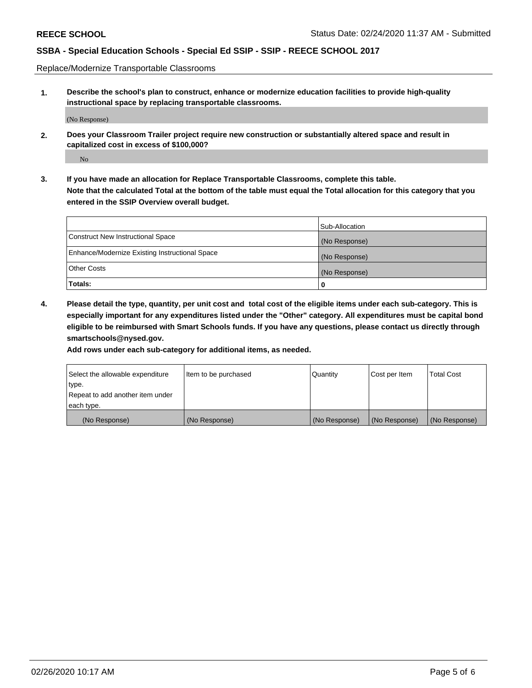Replace/Modernize Transportable Classrooms

**1. Describe the school's plan to construct, enhance or modernize education facilities to provide high-quality instructional space by replacing transportable classrooms.**

(No Response)

**2. Does your Classroom Trailer project require new construction or substantially altered space and result in capitalized cost in excess of \$100,000?**

No

**3. If you have made an allocation for Replace Transportable Classrooms, complete this table. Note that the calculated Total at the bottom of the table must equal the Total allocation for this category that you entered in the SSIP Overview overall budget.**

|                                                | Sub-Allocation |
|------------------------------------------------|----------------|
| Construct New Instructional Space              | (No Response)  |
| Enhance/Modernize Existing Instructional Space | (No Response)  |
| Other Costs                                    | (No Response)  |
| Totals:                                        | 0              |

**4. Please detail the type, quantity, per unit cost and total cost of the eligible items under each sub-category. This is especially important for any expenditures listed under the "Other" category. All expenditures must be capital bond eligible to be reimbursed with Smart Schools funds. If you have any questions, please contact us directly through smartschools@nysed.gov.**

**Add rows under each sub-category for additional items, as needed.**

| Select the allowable expenditure | lltem to be purchased | Quantity      | Cost per Item | <b>Total Cost</b> |
|----------------------------------|-----------------------|---------------|---------------|-------------------|
| type.                            |                       |               |               |                   |
| Repeat to add another item under |                       |               |               |                   |
| each type.                       |                       |               |               |                   |
| (No Response)                    | (No Response)         | (No Response) | (No Response) | (No Response)     |